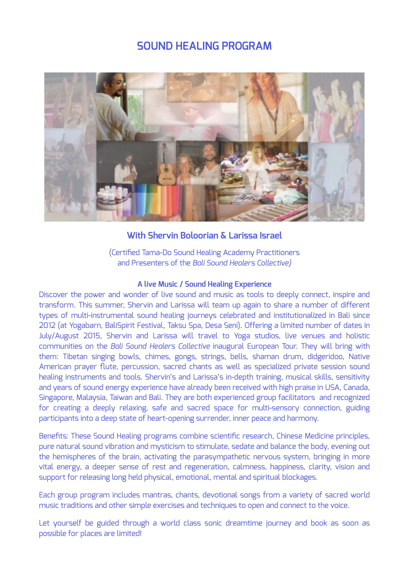# **SOUND HEALING PROGRAM**



# **With Shervin Boloorian & Larissa Israel**

(Certified Tama-Do Sound Healing Academy Practitioners and Presenters of the *Bali Sound Healers Collective)*

#### **A live Music / Sound Healing Experience**

Discover the power and wonder of live sound and music as tools to deeply connect, inspire and transform. This summer, Shervin and Larissa will team up again to share a number of different types of multi-instrumental sound healing journeys celebrated and institutionalized in Bali since 2012 (at Yogabarn, BaliSpirit Festival, Taksu Spa, Desa Seni). Offering a limited number of dates in July/August 2015, Shervin and Larissa will travel to Yoga studios, live venues and holistic communities on the *Bali Sound Healers Collective* inaugural European Tour. They will bring with them: Tibetan singing bowls, chimes, gongs, strings, bells, shaman drum, didgeridoo, Native American prayer flute, percussion, sacred chants as well as specialized private session sound healing instruments and tools. Shervin's and Larissa's in-depth training, musical skills, sensitivity and years of sound energy experience have already been received with high praise in USA, Canada, Singapore, Malaysia, Taiwan and Bali. They are both experienced group facilitators and recognized for creating a deeply relaxing, safe and sacred space for multi-sensory connection, guiding participants into a deep state of heart-opening surrender, inner peace and harmony.

Benefits: These Sound Healing programs combine scientific research, Chinese Medicine principles, pure natural sound vibration and mysticism to stimulate, sedate and balance the body, evening out the hemispheres of the brain, activating the parasympathetic nervous system, bringing in more vital energy, a deeper sense of rest and regeneration, calmness, happiness, clarity, vision and support for releasing long held physical, emotional, mental and spiritual blockages.

Each group program includes mantras, chants, devotional songs from a variety of sacred world music traditions and other simple exercises and techniques to open and connect to the voice.

Let yourself be guided through a world class sonic dreamtime journey and book as soon as possible for places are limited!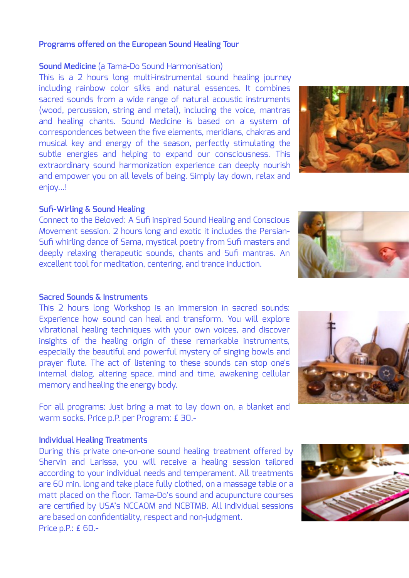## **Programs offered on the European Sound Healing Tour**

## **Sound Medicine** (a Tama-Do Sound Harmonisation)

This is a 2 hours long multi-instrumental sound healing journey including rainbow color silks and natural essences. It combines sacred sounds from a wide range of natural acoustic instruments (wood, percussion, string and metal), including the voice, mantras and healing chants. Sound Medicine is based on a system of correspondences between the five elements, meridians, chakras and musical key and energy of the season, perfectly stimulating the subtle energies and helping to expand our consciousness. This extraordinary sound harmonization experience can deeply nourish and empower you on all levels of being. Simply lay down, relax and enjoy…!

# **Sufi-Wirling & Sound Healing**

Connect to the Beloved: A Sufi inspired Sound Healing and Conscious Movement session. 2 hours long and exotic it includes the Persian-Sufi whirling dance of Sama, mystical poetry from Sufi masters and deeply relaxing therapeutic sounds, chants and Sufi mantras. An excellent tool for meditation, centering, and trance induction.

### **Sacred Sounds & Instruments**

This 2 hours long Workshop is an immersion in sacred sounds: Experience how sound can heal and transform. You will explore vibrational healing techniques with your own voices, and discover insights of the healing origin of these remarkable instruments, especially the beautiful and powerful mystery of singing bowls and prayer flute. The act of listening to these sounds can stop one's internal dialog, altering space, mind and time, awakening cellular memory and healing the energy body.

For all programs: Just bring a mat to lay down on, a blanket and warm socks. Price p.P. per Program: ₤ 30.-

### **Individual Healing Treatments**

During this private one-on-one sound healing treatment offered by Shervin and Larissa, you will receive a healing session tailored according to your individual needs and temperament. All treatments are 60 min. long and take place fully clothed, on a massage table or a matt placed on the floor. Tama-Do's sound and acupuncture courses are certified by USA's NCCAOM and NCBTMB. All individual sessions are based on confidentiality, respect and non-judgment. Price p.P.: ₤ 60.-







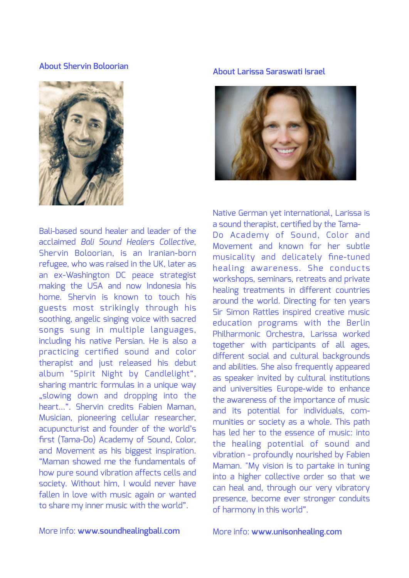## **About Shervin Boloorian**



Bali-based sound healer and leader of the acclaimed *Bali Sound Healers Collective*, Shervin Boloorian, is an Iranian-born refugee, who was raised in the UK, later as an ex-Washington DC peace strategist making the USA and now Indonesia his home. Shervin is known to touch his guests most strikingly through his soothing, angelic singing voice with sacred songs sung in multiple languages, including his native Persian. He is also a practicing certified sound and color therapist and just released his debut album "Spirit Night by Candlelight", sharing mantric formulas in a unique way "slowing down and dropping into the heart…". Shervin credits Fabien Maman, Musician, pioneering cellular researcher, acupuncturist and founder of the world's first (Tama-Do) Academy of Sound, Color, and Movement as his biggest inspiration. "Maman showed me the fundamentals of how pure sound vibration affects cells and society. Without him, I would never have fallen in love with music again or wanted to share my inner music with the world".

#### **About Larissa Saraswati Israel**



Native German yet international, Larissa is a sound therapist, certified by the Tama-Do Academy of Sound, Color and Movement and known for her subtle musicality and delicately fine-tuned healing awareness. She conducts workshops, seminars, retreats and private healing treatments in different countries around the world. Directing for ten years Sir Simon Rattles inspired creative music education programs with the Berlin Philharmonic Orchestra, Larissa worked together with participants of all ages, different social and cultural backgrounds and abilities. She also frequently appeared as speaker invited by cultural institutions and universities Europe-wide to enhance the awareness of the importance of music and its potential for individuals, communities or society as a whole. This path has led her to the essence of music: into the healing potential of sound and vibration - profoundly nourished by Fabien Maman. "My vision is to partake in tuning into a higher collective order so that we can heal and, through our very vibratory presence, become ever stronger conduits of harmony in this world".

## More info: **[www.soundhealingbali.com](http://www.soundhealingbali.com/)**

More info: **[www.unisonhealing.com](http://www.unisonhealing.com/)**